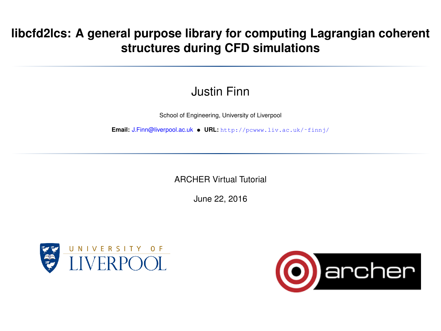## **libcfd2lcs: A general purpose library for computing Lagrangian coherent structures during CFD simulations**

## Justin Finn

School of Engineering, University of Liverpool

**Email:** [J.Finn@liverpool.ac.uk](mailto:J.Finn@liverpool.ac.uk) • **URL:** [http://pcwww.liv.ac.uk/˜finnj/](http://pcwww.liv.ac.uk/~finnj/)

ARCHER Virtual Tutorial

June 22, 2016

<span id="page-0-0"></span>

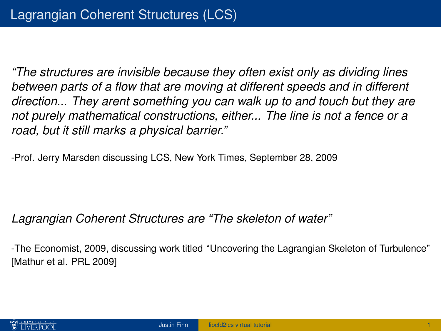*"The structures are invisible because they often exist only as dividing lines between parts of a flow that are moving at different speeds and in different direction... They arent something you can walk up to and touch but they are not purely mathematical constructions, either... The line is not a fence or a road, but it still marks a physical barrier."*

-Prof. Jerry Marsden discussing LCS, New York Times, September 28, 2009

## *Lagrangian Coherent Structures are "The skeleton of water"*

-The Economist, 2009, discussing work titled *'*'Uncovering the Lagrangian Skeleton of Turbulence" [Mathur et al. PRL 2009]

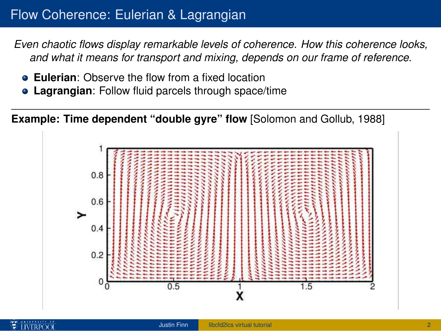## Flow Coherence: Eulerian & Lagrangian

*Even chaotic flows display remarkable levels of coherence. How this coherence looks, and what it means for transport and mixing, depends on our frame of reference.*

- **Eulerian:** Observe the flow from a fixed location
- **Lagrangian**: Follow fluid parcels through space/time

**Example: Time dependent "double gyre" flow** [\[Solomon and Gollub, 1988\]](#page-25-0)

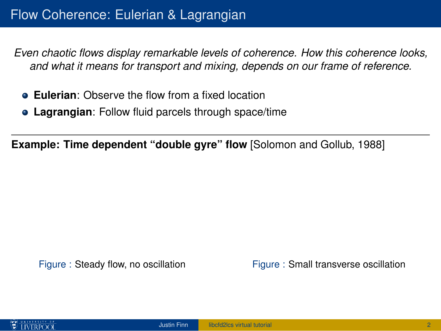*Even chaotic flows display remarkable levels of coherence. How this coherence looks, and what it means for transport and mixing, depends on our frame of reference.*

- **Eulerian**: Observe the flow from a fixed location
- **Lagrangian**: Follow fluid parcels through space/time

**Example: Time dependent "double gyre" flow** [\[Solomon and Gollub, 1988\]](#page-25-0)

Figure : Steady flow, no oscillation Figure : Small transverse oscillation

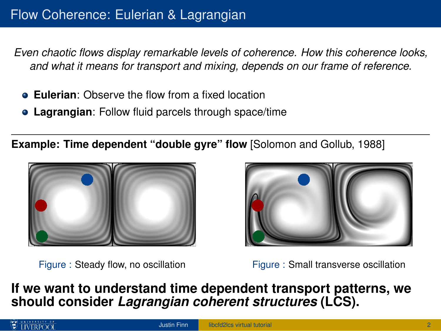*Even chaotic flows display remarkable levels of coherence. How this coherence looks, and what it means for transport and mixing, depends on our frame of reference.*

- **Eulerian**: Observe the flow from a fixed location
- **Lagrangian**: Follow fluid parcels through space/time

**Example: Time dependent "double gyre" flow** [\[Solomon and Gollub, 1988\]](#page-25-0)





Figure : Steady flow, no oscillation Figure : Small transverse oscillation

**If we want to understand time dependent transport patterns, we should consider** *Lagrangian coherent structures* **(LCS).**

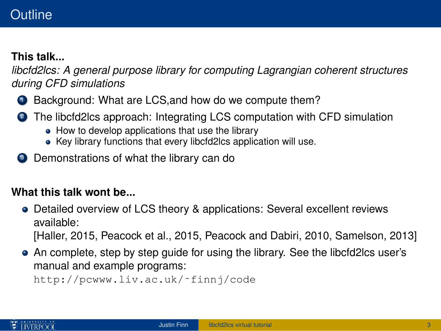## **Outline**

## **This talk...**

*libcfd2lcs: A general purpose library for computing Lagrangian coherent structures during CFD simulations*

- **1** Background: What are LCS, and how do we compute them?
- <sup>2</sup> The libcfd2lcs approach: Integrating LCS computation with CFD simulation
	- How to develop applications that use the library
	- Key library functions that every libcfd2lcs application will use.
- <sup>3</sup> Demonstrations of what the library can do

## **What this talk wont be...**

- Detailed overview of LCS theory & applications: Several excellent reviews available: [\[Haller, 2015,](#page-24-0) [Peacock et al., 2015,](#page-25-1) [Peacock and Dabiri, 2010,](#page-25-2) [Samelson, 2013\]](#page-25-3)
- An complete, step by step guide for using the library. See the libcfd2lcs user's manual and example programs: [http://pcwww.liv.ac.uk/˜finnj/code](http://pcwww.liv.ac.uk/~finnj/code)

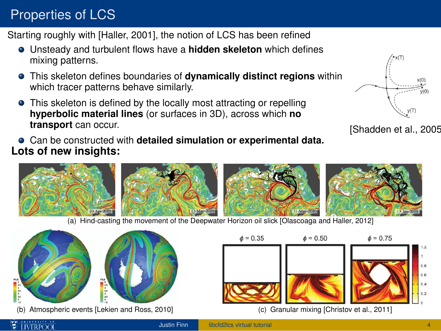# Properties of LCS

Starting roughly with [\[Haller, 2001\]](#page-24-1), the notion of LCS has been refined

- Unsteady and turbulent flows have a **hidden skeleton** which defines mixing patterns.
- This skeleton defines boundaries of **dynamically distinct regions** within which tracer patterns behave similarly.
- **•** This skeleton is defined by the locally most attracting or repelling **hyperbolic material lines** (or surfaces in 3D), across which **no transport** can occur.
- Can be constructed with **detailed simulation or experimental data. Lots of new insights:**



[\[Shadden et al., 2005\]](#page-25-4)









(a) Hind-casting the movement of the Deepwater Horizon oil slick [\[Olascoaga and Haller, 2012\]](#page-25-5)





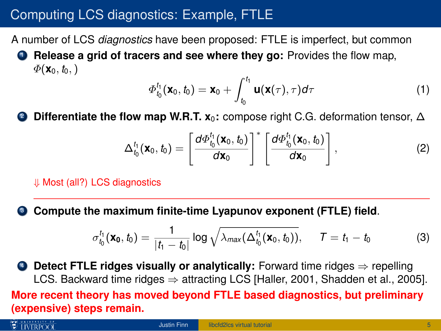# Computing LCS diagnostics: Example, FTLE

A number of LCS *diagnostics* have been proposed: FTLE is imperfect, but common

<sup>1</sup> **Release a grid of tracers and see where they go:** Provides the flow map,  $\Phi(\mathbf{x}_0, t_0)$ 

$$
\varPhi_{t_0}^{t_1}(\mathbf{x}_0,t_0)=\mathbf{x}_0+\int_{t_0}^{t_1}\mathbf{u}(\mathbf{x}(\tau),\tau)d\tau
$$
\n(1)

**Differentiate the flow map W.R.T. x<sub>0</sub>:** compose right C.G. deformation tensor, ∆

$$
\Delta_{t_0}^{t_1}(\mathbf{x}_0, t_0) = \left[\frac{d\Phi_{t_0}^{t_1}(\mathbf{x}_0, t_0)}{d\mathbf{x}_0}\right]^* \left[\frac{d\Phi_{t_0}^{t_1}(\mathbf{x}_0, t_0)}{d\mathbf{x}_0}\right],
$$
\n(2)

⇓ Most (all?) LCS diagnostics

<sup>3</sup> **Compute the maximum finite-time Lyapunov exponent (FTLE) field**.

$$
\sigma_{t_0}^{t_1}(\mathbf{x_0}, t_0) = \frac{1}{|t_1 - t_0|} \log \sqrt{\lambda_{max}(\Delta_{t_0}^{t_1}(\mathbf{x}_0, t_0))}, \quad T = t_1 - t_0 \tag{3}
$$

**4 Detect FTLE ridges visually or analytically:** Forward time ridges ⇒ repelling LCS. Backward time ridges  $\Rightarrow$  attracting LCS [\[Haller, 2001,](#page-24-1) [Shadden et al., 2005\]](#page-25-4). **More recent theory has moved beyond FTLE based diagnostics, but preliminary (expensive) steps remain.**

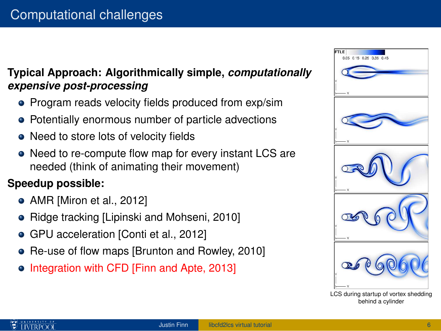## **Typical Approach: Algorithmically simple,** *computationally expensive post-processing*

- Program reads velocity fields produced from exp/sim
- Potentially enormous number of particle advections
- Need to store lots of velocity fields
- Need to re-compute flow map for every instant LCS are needed (think of animating their movement)

## **Speedup possible:**

- AMR [\[Miron et al., 2012\]](#page-24-4)
- Ridge tracking [\[Lipinski and Mohseni, 2010\]](#page-24-5)
- GPU acceleration [\[Conti et al., 2012\]](#page-24-6)
- Re-use of flow maps [\[Brunton and Rowley, 2010\]](#page-24-7) ۰
- Integration with CFD [\[Finn and Apte, 2013\]](#page-24-8)



LCS during startup of vortex shedding behind a cylinder

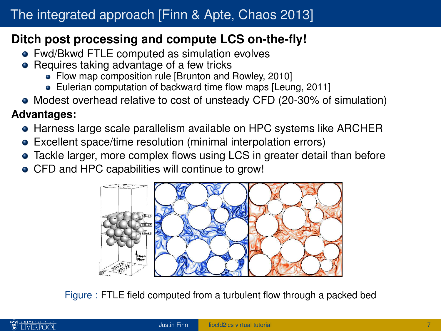## **Ditch post processing and compute LCS on-the-fly!**

- Fwd/Bkwd FTLE computed as simulation evolves
- **•** Requires taking advantage of a few tricks
	- Flow map composition rule [\[Brunton and Rowley, 2010\]](#page-24-7)
	- Eulerian computation of backward time flow maps [\[Leung, 2011\]](#page-24-9)
- Modest overhead relative to cost of unsteady CFD (20-30% of simulation)

## **Advantages:**

- **Harness large scale parallelism available on HPC systems like ARCHER**
- Excellent space/time resolution (minimal interpolation errors)
- Tackle larger, more complex flows using LCS in greater detail than before
- CFD and HPC capabilities will continue to grow!



Figure : FTLE field computed from a turbulent flow through a packed bed

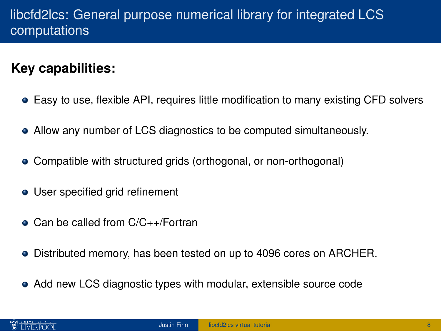# libcfd2lcs: General purpose numerical library for integrated LCS computations

# **Key capabilities:**

- Easy to use, flexible API, requires little modification to many existing CFD solvers
- Allow any number of LCS diagnostics to be computed simultaneously.
- Compatible with structured grids (orthogonal, or non-orthogonal)
- User specified grid refinement
- Can be called from C/C++/Fortran
- Distributed memory, has been tested on up to 4096 cores on ARCHER.
- Add new LCS diagnostic types with modular, extensible source code

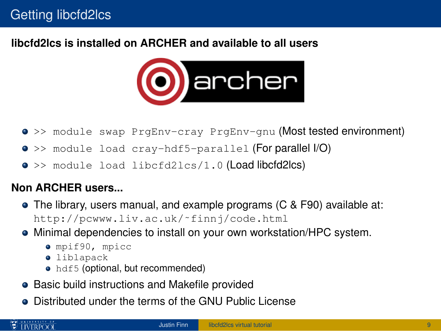### **libcfd2lcs is installed on ARCHER and available to all users**



- >> module swap PrgEnv-cray PrgEnv-gnu (Most tested environment)
- >> module load cray-hdf5-parallel (For parallel I/O)
- >> module load libcfd2lcs/1.0 (Load libcfd2lcs)

### **Non ARCHER users...**

- The library, users manual, and example programs (C & F90) available at: [http://pcwww.liv.ac.uk/˜finnj/code.html](http://pcwww.liv.ac.uk/~finnj/code.html)
- Minimal dependencies to install on your own workstation/HPC system.
	- $\bullet$  mpif90, mpicc
	- **·** liblapack
	- hdf5 (optional, but recommended)
- Basic build instructions and Makefile provided
- Distributed under the terms of the GNU Public License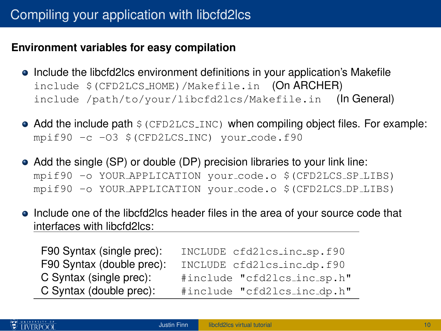#### **Environment variables for easy compilation**

- Include the libcfd2lcs environment definitions in your application's Makefile include \$(CFD2LCS HOME)/Makefile.in (On ARCHER) include /path/to/your/libcfd2lcs/Makefile.in (In General)
- $\bullet$  Add the include path  $\frac{1}{2}$  (CFD2LCS INC) when compiling object files. For example: mpif90 -c -O3 \$(CFD2LCS INC) your code.f90
- Add the single (SP) or double (DP) precision libraries to your link line: mpif90 -o YOUR APPLICATION your code.o \$(CFD2LCS SP LIBS) mpif90 -o YOUR APPLICATION your code.o \$(CFD2LCS DP LIBS)
- Include one of the libcfd2lcs header files in the area of your source code that interfaces with libcfd2lcs:

| F90 Syntax (single prec): | INCLUDE cfd2lcs_inc_sp.f90  |
|---------------------------|-----------------------------|
| F90 Syntax (double prec): | INCLUDE cfd2lcs_inc_dp.f90  |
| C Syntax (single prec):   | #include "cfd2lcs_inc_sp.h" |
| C Syntax (double prec):   | #include "cfd2lcs_inc_dp.h" |

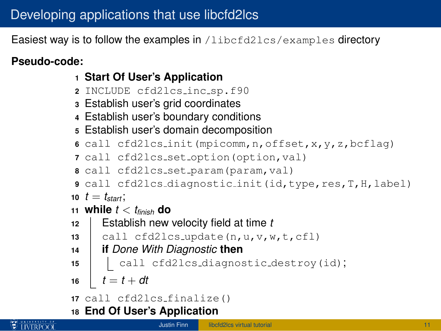Easiest way is to follow the examples in /libcfd2lcs/examples directory

## **Pseudo-code:**

- **<sup>1</sup> Start Of User's Application**
- **<sup>2</sup>** INCLUDE cfd2lcs inc sp.f90
- **<sup>3</sup>** Establish user's grid coordinates
- **<sup>4</sup>** Establish user's boundary conditions
- **<sup>5</sup>** Establish user's domain decomposition
- **<sup>6</sup>** call cfd2lcs init(mpicomm,n,offset,x,y,z,bcflag)
- **<sup>7</sup>** call cfd2lcs set option(option,val)
- **<sup>8</sup>** call cfd2lcs set param(param,val)
- **<sup>9</sup>** call cfd2lcs diagnostic init(id,type,res,T,H,label)
- **10**  $t = t_{start}$ ;
- 11 **while**  $t < t_{\text{finish}}$  **do**
- **<sup>12</sup>** Establish new velocity field at time *t*
- **13**  $cal$ rall cfd2lcs\_update(n,u,v,w,t,cfl)
- **<sup>14</sup> if** *Done With Diagnostic* **then**
- 15 | call cfd2lcs\_diagnostic\_destroy(id);
- 16  $t = t + dt$

```
17 call cfd2lcs finalize()
```
**<sup>18</sup> End Of User's Application**

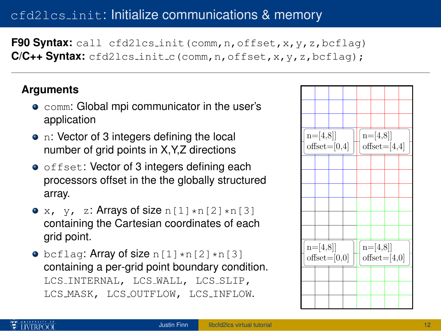## cfd2lcs init: Initialize communications & memory

F90 Syntax: call cfd2lcs\_init(comm,n,offset,x,y,z,bcflag) **C/C++ Syntax:** cfd2lcs\_init\_c(comm,n,offset,x,y,z,bcflag);

#### **Arguments**

- **comm: Global mpi communicator in the user's** application
- n: Vector of 3 integers defining the local number of grid points in X,Y,Z directions
- $\bullet$  offset: Vector of 3 integers defining each processors offset in the the globally structured array.
- x, y, z: Arrays of size  $n[1]*n[2]*n[3]$ containing the Cartesian coordinates of each grid point.
- $\bullet$  bcflag: Array of size n[1]\*n[2]\*n[3] containing a per-grid point boundary condition. LCS INTERNAL, LCS WALL, LCS SLIP, LCS MASK, LCS OUTFLOW, LCS INFLOW.



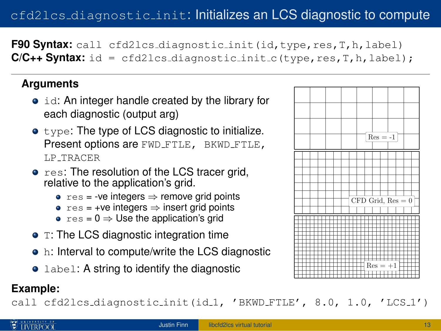# cfd2lcs diagnostic init: Initializes an LCS diagnostic to compute

**F90 Syntax:** call cfd2lcs\_diagnostic\_init(id,type,res,T,h,label)  $C/C++$  **Syntax:**  $id = cfd2lcs$  diagnostic init c(type, res,  $T$ ,  $h$ ,  $label)$ ;

#### **Arguments**

- id: An integer handle created by the library for each diagnostic (output arg)
- $\bullet$  type: The type of LCS diagnostic to initialize. Present options are FWD\_FTLE, BKWD\_FTLE, LP TRACER
- res: The resolution of the LCS tracer grid, relative to the application's grid.
	- $res = -ve$  integers  $\Rightarrow$  remove grid points
	- $res = +ve$  integers  $\Rightarrow$  insert grid points
	- $res = 0 \Rightarrow$  Use the application's grid
- T: The LCS diagnostic integration time
- h: Interval to compute/write the LCS diagnostic
- Label: A string to identify the diagnostic

#### **Example:**

call cfd2lcs\_diagnostic\_init(id\_1, 'BKWD\_FTLE', 8.0, 1.0, 'LCS\_1')

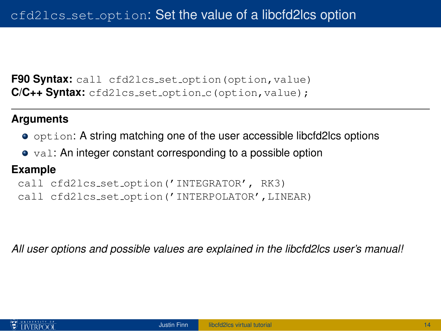**F90 Syntax:** call cfd2lcs\_set\_option(option, value) **C/C++ Syntax:** cfd2lcs\_set\_option\_c(option,value);

#### **Arguments**

- option: A string matching one of the user accessible libcfd2lcs options
- val: An integer constant corresponding to a possible option

#### **Example**

```
call cfd2lcs set option('INTEGRATOR', RK3)
call cfd2lcs set option('INTERPOLATOR',LINEAR)
```
*All user options and possible values are explained in the libcfd2lcs user's manual!*

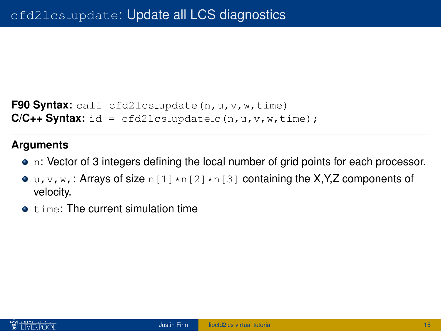```
F90 Svntax: call cfd2lcs_update(n,u,v,w,time)
C/C_{++} Syntax: id = cfd2lcs_update_c(n,u,v,w,time);
```
#### **Arguments**

- n: Vector of 3 integers defining the local number of grid points for each processor.
- $\bullet$  u, v, w, : Arrays of size n[1] $\star$ n[2] $\star$ n[3] containing the X,Y,Z components of velocity.
- $\bullet$   $\pm$  ime: The current simulation time

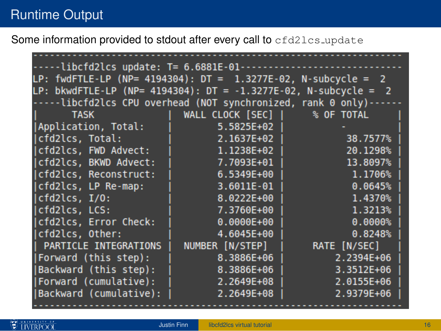Some information provided to stdout after every call to cfd2lcs\_update

| --libcfd2lcs update: T= 6.6881E-01--                             |                                 |                         |  |
|------------------------------------------------------------------|---------------------------------|-------------------------|--|
| LP: fwdFTLE-LP (NP= 4194304): DT = $1.3277E-02$ , N-subcycle = 2 |                                 |                         |  |
| LP: bkwdFTLE-LP (NP= 4194304): DT = -1.3277E-02, N-subcycle = 2  |                                 |                         |  |
| -----libcfd2lcs CPU overhead (NOT synchronized, rank 0 only)---  |                                 |                         |  |
| <b>TASK</b>                                                      | WALL CLOCK $[SEC]$   % OF TOTAL |                         |  |
| Application, Total:                                              | $5.5825E+02$                    |                         |  |
| cfd2lcs, Total:                                                  | 2.1637E+02                      | 38.7577%                |  |
| (cfd2lcs, FWD Advect:                                            | $1.1238E+02$                    | 20.1298%                |  |
| (cfd2lcs, BKWD Advect:                                           | 7.7093E+01 l                    | 13.8097%                |  |
| cfd2lcs, Reconstruct:                                            | $6.5349E+00$                    |                         |  |
| (cfd2lcs, LP Re-map:                                             | $3.6011E-01$                    | 0.0645%                 |  |
| cfd2lcs, I/0:                                                    | 8.0222E+00                      | 1.4370%                 |  |
| cfd2lcs, LCS:                                                    | 7.3760E+00                      | 1.3213%                 |  |
| cfd2lcs, Error Check:                                            | $0.0000E + 00$                  | 0.0000%                 |  |
| Icfd2lcs. Other:                                                 | 4.6045E+00                      | 0.8248%                 |  |
| PARTICLE INTEGRATIONS                                            | NUMBER [N/STEP]                 | RATE [N/SEC]            |  |
| (Forward (this step):                                            | 8.3886E+06                      | $2.2394E+06$            |  |
| (Backward (this step):                                           |                                 | $8.3886E+06$ 3.3512E+06 |  |
| (Forward (cumulative):                                           | $2.2649E+08$                    | 2.0155E+06              |  |
| Backward (cumulative):                                           | 2.2649E+08                      | 2.9379E+06              |  |
|                                                                  |                                 |                         |  |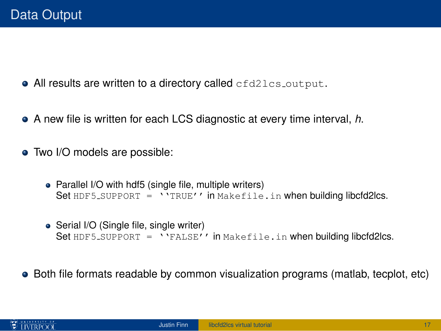- All results are written to a directory called cfd2lcs\_output.
- A new file is written for each LCS diagnostic at every time interval, *h*.
- Two I/O models are possible:
	- Parallel I/O with hdf5 (single file, multiple writers) Set  $HDF5$ -SUPPORT = ''TRUE'' in Makefile.in when building libcfd2lcs.
	- Serial I/O (Single file, single writer) Set  $HDF5$ -SUPPORT = ''FALSE'' in Makefile.in when building libcfd2lcs.
- Both file formats readable by common visualization programs (matlab, tecplot, etc)

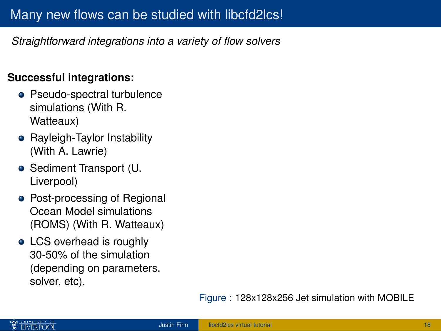*Straightforward integrations into a variety of flow solvers*

## **Successful integrations:**

- Pseudo-spectral turbulence simulations (With R. Watteaux)
- Rayleigh-Taylor Instability (With A. Lawrie)
- Sediment Transport (U. Liverpool)
- Post-processing of Regional Ocean Model simulations (ROMS) (With R. Watteaux)
- LCS overhead is roughly 30-50% of the simulation (depending on parameters, solver, etc).

#### Figure : 128x128x256 Jet simulation with MOBILE

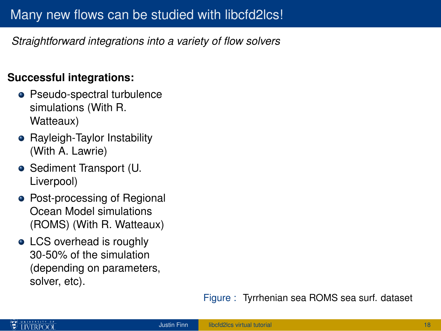*Straightforward integrations into a variety of flow solvers*

## **Successful integrations:**

- Pseudo-spectral turbulence simulations (With R. Watteaux)
- Rayleigh-Taylor Instability (With A. Lawrie)
- Sediment Transport (U. Liverpool)
- Post-processing of Regional Ocean Model simulations (ROMS) (With R. Watteaux)
- LCS overhead is roughly 30-50% of the simulation (depending on parameters, solver, etc).

Figure : Tyrrhenian sea ROMS sea surf. dataset

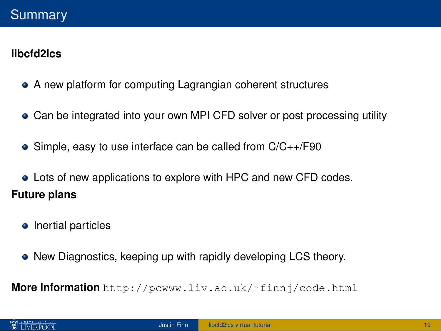## **libcfd2lcs**

- A new platform for computing Lagrangian coherent structures
- Can be integrated into your own MPI CFD solver or post processing utility
- Simple, easy to use interface can be called from C/C++/F90
- Lots of new applications to explore with HPC and new CFD codes. **Future plans**
	- Inertial particles
	- New Diagnostics, keeping up with rapidly developing LCS theory.

**More Information** [http://pcwww.liv.ac.uk/˜finnj/code.html](http://pcwww.liv.ac.uk/~finnj/code.html)

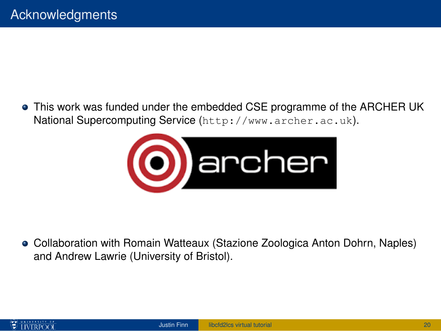This work was funded under the embedded CSE programme of the ARCHER UK National Supercomputing Service (<http://www.archer.ac.uk>).



Collaboration with Romain Watteaux (Stazione Zoologica Anton Dohrn, Naples) and Andrew Lawrie (University of Bristol).

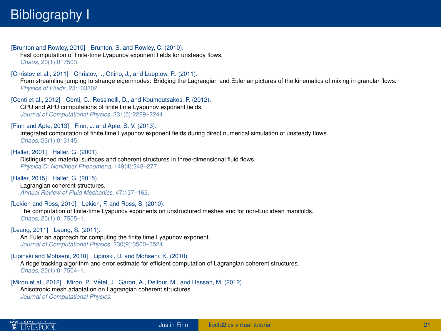# Bibliography I

<span id="page-24-7"></span>[Brunton and Rowley, 2010] Brunton, S. and Rowley, C. (2010). Fast computation of finite-time Lyapunov exponent fields for unsteady flows. *Chaos*, 20(1):017503.

<span id="page-24-3"></span>[Christov et al., 2011] Christov, I., Ottino, J., and Lueptow, R. (2011).

From streamline jumping to strange eigenmodes: Bridging the Lagrangian and Eulerian pictures of the kinematics of mixing in granular flows. *Physics of Fluids*, 23:103302.

<span id="page-24-6"></span>[Conti et al., 2012] Conti, C., Rossinelli, D., and Koumoutsakos, P. (2012). GPU and APU computations of finite time Lyapunov exponent fields. *Journal of Computational Physics*, 231(5):2229–2244.

<span id="page-24-8"></span>[Finn and Apte, 2013] Finn, J. and Apte, S. V. (2013).

Integrated computation of finite time Lyapunov exponent fields during direct numerical simulation of unsteady flows. *Chaos*, 23(1):013145.

<span id="page-24-1"></span>[Haller, 2001] Haller, G. (2001).

Distinguished material surfaces and coherent structures in three-dimensional fluid flows. *Physica D: Nonlinear Phenomena*, 149(4):248–277.

<span id="page-24-0"></span>[Haller, 2015] Haller, G. (2015). Lagrangian coherent structures. *Annual Review of Fluid Mechanics*, 47:137–162.

<span id="page-24-2"></span>[Lekien and Ross, 2010] Lekien, F. and Ross, S. (2010).

The computation of finite-time Lyapunov exponents on unstructured meshes and for non-Euclidean manifolds. *Chaos*, 20(1):017505–1.

<span id="page-24-9"></span>[Leung, 2011] Leung, S. (2011).

An Eulerian approach for computing the finite time Lyapunov exponent. *Journal of Computational Physics*, 230(9):3500–3524.

<span id="page-24-5"></span>[Lipinski and Mohseni, 2010] Lipinski, D. and Mohseni, K. (2010).

A ridge tracking algorithm and error estimate for efficient computation of Lagrangian coherent structures. *Chaos*, 20(1):017504–1.

<span id="page-24-4"></span>[Miron et al., 2012] Miron, P., Vétel, J., Garon, A., Delfour, M., and Hassan, M. (2012). Anisotropic mesh adaptation on Lagrangian coherent structures. *Journal of Computational Physics*.